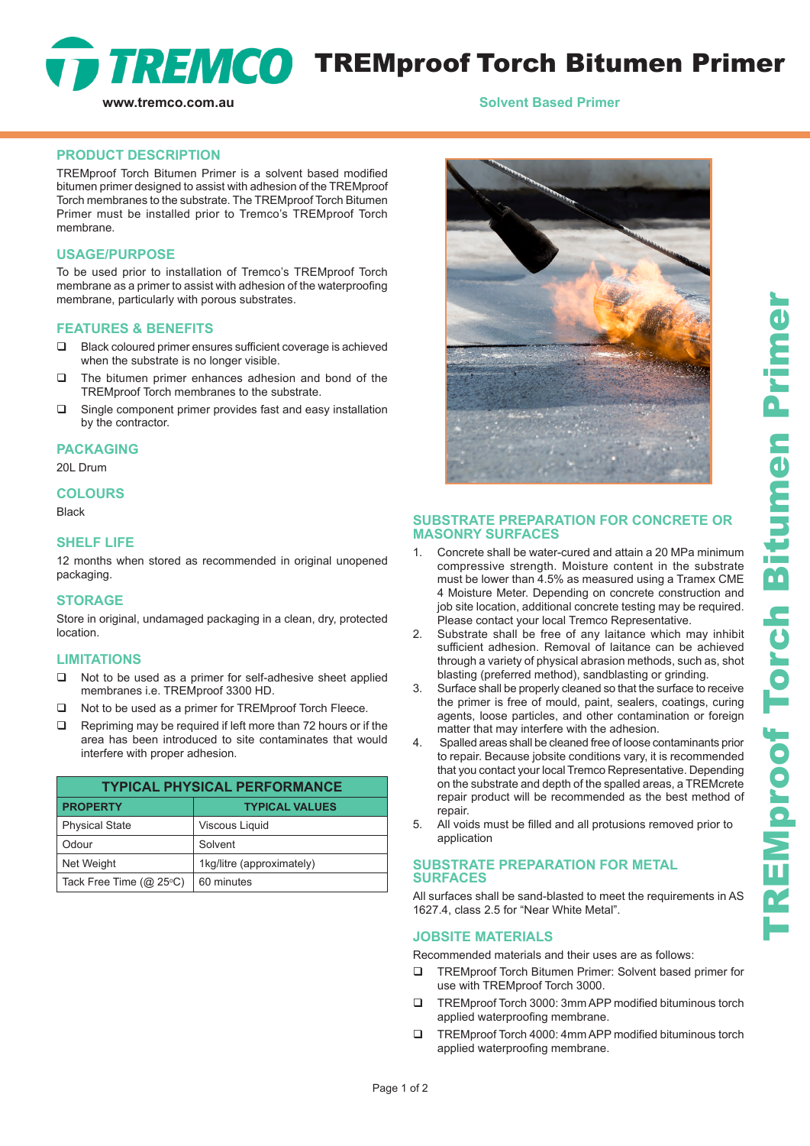

## **www.tremco.com.au** *Solvent Based Primer*

#### **PRODUCT DESCRIPTION**

TREMproof Torch Bitumen Primer is a solvent based modified bitumen primer designed to assist with adhesion of the TREMproof Torch membranes to the substrate. The TREMproof Torch Bitumen Primer must be installed prior to Tremco's TREMproof Torch membrane.

## **USAGE/PURPOSE**

To be used prior to installation of Tremco's TREMproof Torch membrane as a primer to assist with adhesion of the waterproofing membrane, particularly with porous substrates.

#### **FEATURES & BENEFITS**

- □ Black coloured primer ensures sufficient coverage is achieved when the substrate is no longer visible.
- $\Box$  The bitumen primer enhances adhesion and bond of the TREMproof Torch membranes to the substrate.
- $\Box$  Single component primer provides fast and easy installation by the contractor.

#### **PACKAGING**

20L Drum

#### **COLOURS**

Black

## **SHELF LIFE**

12 months when stored as recommended in original unopened packaging.

#### **STORAGE**

Store in original, undamaged packaging in a clean, dry, protected location.

#### **LIMITATIONS**

- □ Not to be used as a primer for self-adhesive sheet applied membranes i.e. TREMproof 3300 HD.
- □ Not to be used as a primer for TREMproof Torch Fleece.
- $\Box$  Repriming may be required if left more than 72 hours or if the area has been introduced to site contaminates that would interfere with proper adhesion.

| <b>TYPICAL PHYSICAL PERFORMANCE</b> |                           |
|-------------------------------------|---------------------------|
| <b>PROPERTY</b>                     | <b>TYPICAL VALUES</b>     |
| <b>Physical State</b>               | Viscous Liquid            |
| Odour                               | Solvent                   |
| Net Weight                          | 1kg/litre (approximately) |
| Tack Free Time $(Q\ 25^{\circ}C)$   | 60 minutes                |



## **SUBSTRATE PREPARATION FOR CONCRETE OR MASONRY SURFACES**

- 1. Concrete shall be water-cured and attain a 20 MPa minimum compressive strength. Moisture content in the substrate must be lower than 4.5% as measured using a Tramex CME 4 Moisture Meter. Depending on concrete construction and job site location, additional concrete testing may be required. Please contact your local Tremco Representative.
- 2. Substrate shall be free of any laitance which may inhibit sufficient adhesion. Removal of laitance can be achieved through a variety of physical abrasion methods, such as, shot blasting (preferred method), sandblasting or grinding.
- 3. Surface shall be properly cleaned so that the surface to receive the primer is free of mould, paint, sealers, coatings, curing agents, loose particles, and other contamination or foreign matter that may interfere with the adhesion.
- 4. Spalled areas shall be cleaned free of loose contaminants prior to repair. Because jobsite conditions vary, it is recommended that you contact your local Tremco Representative. Depending on the substrate and depth of the spalled areas, a TREMcrete repair product will be recommended as the best method of repair.
- 5. All voids must be filled and all protusions removed prior to application

#### **SUBSTRATE PREPARATION FOR METAL SURFACES**

All surfaces shall be sand-blasted to meet the requirements in AS 1627.4, class 2.5 for "Near White Metal".

## **JOBSITE MATERIALS**

Recommended materials and their uses are as follows:

- TREMproof Torch Bitumen Primer: Solvent based primer for use with TREMproof Torch 3000.
- TREMproof Torch 3000: 3mm APP modified bituminous torch applied waterproofing membrane.
- TREMproof Torch 4000: 4mm APP modified bituminous torch applied waterproofing membrane.